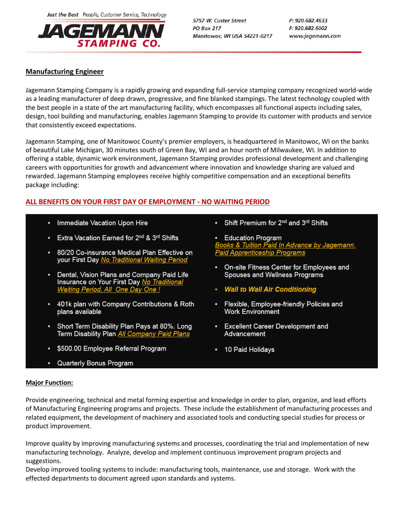Just the Best People, Customer Service, Technology



5757 W. Custer Street **PO Box 217** Manitowoc, WI USA 54221-0217 P: 920.682.4633 F: 920.682.6002 www.jagemann.com

## **Manufacturing Engineer**

Jagemann Stamping Company is a rapidly growing and expanding full-service stamping company recognized world-wide as a leading manufacturer of deep drawn, progressive, and fine blanked stampings. The latest technology coupled with the best people in a state of the art manufacturing facility, which encompasses all functional aspects including sales, design, tool building and manufacturing, enables Jagemann Stamping to provide its customer with products and service that consistently exceed expectations.

Jagemann Stamping, one of Manitowoc County's premier employers, is headquartered in Manitowoc, WI on the banks of beautiful Lake Michigan, 30 minutes south of Green Bay, WI and an hour north of Milwaukee, WI. In addition to offering a stable, dynamic work environment, Jagemann Stamping provides professional development and challenging careers with opportunities for growth and advancement where innovation and knowledge sharing are valued and rewarded. Jagemann Stamping employees receive highly competitive compensation and an exceptional benefits package including:

## **ALL BENEFITS ON YOUR FIRST DAY OF EMPLOYMENT - NO WAITING PERIOD**

- Immediate Vacation Upon Hire
- Extra Vacation Earned for 2<sup>nd</sup> & 3<sup>rd</sup> Shifts
- 80/20 Co-insurance Medical Plan Effective on your First Day No Traditional Waiting Period
- Dental, Vision Plans and Company Paid Life Insurance on Your First Day No Traditional Waiting Period, All One Day One !
- 401k plan with Company Contributions & Roth plans available
- Short Term Disability Plan Pays at 80%. Long Term Disability Plan All Company Paid Plans
- \$500.00 Employee Referral Program
- Quarterly Bonus Program
- Shift Premium for 2<sup>nd</sup> and 3<sup>rd</sup> Shifts
- **Education Program** ooks & Tuition Paid In Advance by Jagemann. **Paid Apprenticeship Programs**
- On-site Fitness Center for Employees and Spouses and Wellness Programs
- Wall to Wall Air Conditioning
- Flexible, Employee-friendly Policies and **Work Environment**
- Excellent Career Development and Advancement
- 10 Paid Holidays

## **Major Function:**

Provide engineering, technical and metal forming expertise and knowledge in order to plan, organize, and lead efforts of Manufacturing Engineering programs and projects. These include the establishment of manufacturing processes and related equipment, the development of machinery and associated tools and conducting special studies for process or product improvement.

Improve quality by improving manufacturing systems and processes, coordinating the trial and implementation of new manufacturing technology. Analyze, develop and implement continuous improvement program projects and suggestions.

Develop improved tooling systems to include: manufacturing tools, maintenance, use and storage. Work with the effected departments to document agreed upon standards and systems.